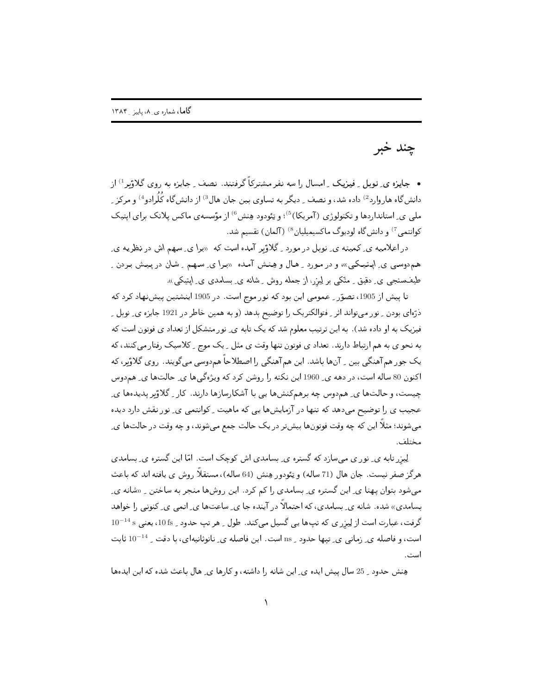چند خبر

• جایزه ی ِ نوبل ِ فیزیک ِ امسال را سه نفر مشترکاً گرفتند. نصف ِ جایزه به روی گلاؤبر <sup>1)</sup> از دانش گاه هاروارد<sup>2)</sup> داده شد، و نصف <sub>-</sub> دیگر به تساوی بین جان هال<sup>3)</sup> از دانش گاه کُلُرادو<sup>4)</sup> و مرکز <sub>-</sub> ملی ی ِ استانداردها و تکنولوژی (آمریکا)<sup>5)</sup>؛ و تِئودود هِنش<sup>6)</sup> از مؤسسه ی ماکس پلانک برای ایتیک کوانتمی <sup>7)</sup> و دانشگاه لودیوگ ماکسیمیلیان <sup>8)</sup> (آلمان) تقسیم شد.

در اعلامیه ی ِ کمیته ی ِ نوبل در مورد ِ گلاؤبر آمده است که «برا ی ِ سهم اش در نظریه ی همدوسی ی ایـتیـکی»، و در مـورد ۱ِ هـال و هِـنـش آمـده «بـرا ی ِ سـهـم ۱ِ شـان در پـیـش بـردن ۱ طیفسنجی ی ِ دقیق ِ متکی بر لِیزر،از جمله روش ِ شانه ی ِ بسامدی ی ِ ایتیکی».

تا پیش از 1905، تصوّر <sub>-</sub> عمومی این بود که نور موج است. در 1905 اینشتین پیشنهاد کرد که ذرّهای بودن \_ نور میتواند اثر \_ فتوالکتریک را توضیح بدهد (و به همین خاطر در 1921 جایزه ی\_ نوبل \_ .<br>فیزیک به او داده شد). به این ترتیب معلوم شد که یک تابه ی ِ نور متشکل از تعداد ی فوتون است که به نحوی به هم ارتباط دارند. تعداد ی فوتون تنها وقت ی مثل ٍ یک موج ِ کلاسیک رفتار می کنند، که یک جور هم آهنگی بین ¸ آنها باشد. این هم آهنگی را اصطلاحاً هم‹وسی میگویند. روی گلاؤبر، که اکنون 80 ساله است، در دهه ی ِ 1960 این نکته را روشن کرد که ویژهگی ها ی ِ حالتها ی ِ هم دوس چیست، و حالتها ی ِ هم‹وس چه برهمکنشها یی با آشکارسازها دارند. کار ِ گلاؤبر پدیدها ی ِ عجیب ی را توضیح می دهد که تنها در آزمایشها یی که ماهیت <sub>-</sub> کوانتم*ی ی ِ* نور نقش دارد دیده می شوند؛ مثلاً این که چه وقت فوتونها بیش تر در یک حالت جمع میشوند، و چه وقت در حالتها ی ِ مختلف.

لِیزر تابه ی ِ نور ی مے سازد که گستره ی ِ بِسامدی اش کوچک است. امّا این گستره ی ِ بِسامدی هرگز صفر نیست. جان هال (71 ساله) و یئودور هِنش (64 ساله)، مستقلاً روش ی یافته اند که باعث می شود بتوان یهنا ی ِ این گستره ی ِ بسامدی را کم کرد. این روشها منجر به ساختن ِ «شانه ی ِ بسامدی» شده. شانه ی ِ بسامدی، که احتمالاً در آینده جا ی ِ ساعتها ی ِ اتمی ی ِ کنونی را خواهد  $10^{-14}\,\mathrm{s}$  گرفت، عبارت است از لِیزر ی که تبها یی گسیل میکند. طول و هر تب حدود و 105s، یعنی  $^{-14}\,\mathrm{s}$ است، و فاصله ي ِ زماني ي ِ تيها حدود ِ ns است. اين فاصله ي ِ نانوثانيه اي، با دقت ِ 14-10 ثابت است.

هِنش حدود \_ 25 سال ييش ايده ي\_ اين شانه را داشته ، وكارها ي\_ هال باعث شده كه اين ايدهها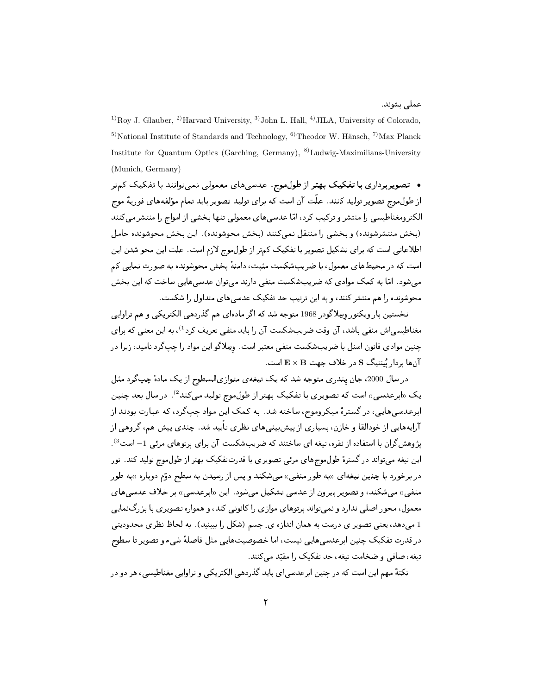عملے شوند.

<sup>1)</sup>Roy J. Glauber, <sup>2)</sup>Harvard University, <sup>3)</sup>John L. Hall, <sup>4)</sup>JILA, University of Colorado, <sup>5)</sup>National Institute of Standards and Technology, <sup>6)</sup>Theodor W. Hänsch, <sup>7)</sup>Max Planck Institute for Quantum Optics (Garching, Germany), <sup>8)</sup>Ludwig-Maximilians-University (Munich, Germany)

• تصویربرداری با تفکیک بهتر از طول موج. عدسیهای معمولی نمیتوانند با تفکیک کمتر از طول موج تصویر تولید کنند. علّت آن است که برای تولید تصویر باید تمام مؤلفههای فوریهٔ موج ۔<br>الکتر ومغناطیسی را منتشر و ترکیب کرد، امّا عدسے های معمولی تنها بخشی از امواج را منتشر میں کنند .<br>(بيخش منتشرشونده) و بيخشي را منتقل نمبي كنند (بيخش مجوشونده). ابن بيخش مجوشونده جامل اطلاعاتی است که برای تشکیل تصویر با تفکیک کمتر از طول موج لازم است. علت این محو شدن این است که در محیطهای معمول، با ضریبشکست مثبت، دامنهٔ بخش محوشونده به صورت نمایی کم می شود. امّا به کمک موادی که ضریب شکست منفی دارند می توان عدسی هایی ساخت که این بخش .<br>محوشونده را هم منتشر کنند، و به این ترتیب حد تفکیک عدس<sub>ه ،</sub>های متداول ,ا شکست.

نخستین بار ویکتور وسِلاگودر 1968 متوجه شد که اگر مادهای هم گذردهی الکتریکی و هم تراوایی مغناطیسی|ش منفی باشد، آن وقت ضریبشکست آن را باید منفی تعریف کرد<sup>1</sup>)، به این معنی<sub>،</sub> که برای چنین موادی قانون اسنل با ضریبشکست منفی معتبر است. وسِلاگو این مواد را چپگرد نامید، زیرا در آنها بردار نُینتیگ S در خلاف جهت E × B است.

در سال 2000، جان پندری متوجه شد که یک تیغهی متوازیالسطوح از یک مادهٔ چپگرد مثل یک «ابرعدسی» است که تصویری با تفکیک بهتر از طول موج تولید میکند<sup>2</sup>). در سال بعد چنین ابرعدسی هایی، در گسترهٔ میکروموج، ساخته شد. به کمک این مواد چپگرد، که عبارت بودند از آرایههایی از خودالقا و خازن، بسیاری از پیش بینی های نظری تأیید شد. چندی پیش هم، گروهی از یژوهش گران با استفاده از نقره، تیغه ای ساختند که ضریبشکست آن برای پرتوهای مرئی 1– است<sup>3</sup>). این تیغه می;تواند در گسترهٔ طول،موجهای مرئی تصویری با قدرتتفکیک بهتر از طول،موج تولید کند. نور در برخورد با چنین تیغهای «به طور منفی» میشکند و پس از رسیدن به سطح دوّم دوباره «به طور منفی» میشکند، و تصویر بیرون از عدسی تشکیل میشود. این «ابرعدسی» بر خلاف عدسی های معمول، محور اصلی ندارد و نمیتواند پرتوهای موازی را کانونی کند، و همواره تصویری با بزرگنمایی 1 میدهد، یعنی تصویر ی درست به همان اندازه ی ِ جسم (شکل را ببینید) . به لحاظ نظری محدودیتی در قدرت تفكيك چنين ابرعدسي هايي نيست، اما خصوصيتهايي مثل فاصلهٔ شيء و تصوير تا سطوح تیغه، صافی و ضخامت تیغه، حد تفکیک را مقیّد می کنند.

نکتهٔ مهم این است که در چنین ابرعدسی ای باید گذردهی الکتریکی و تراوایی مغناطیسی، هر دو در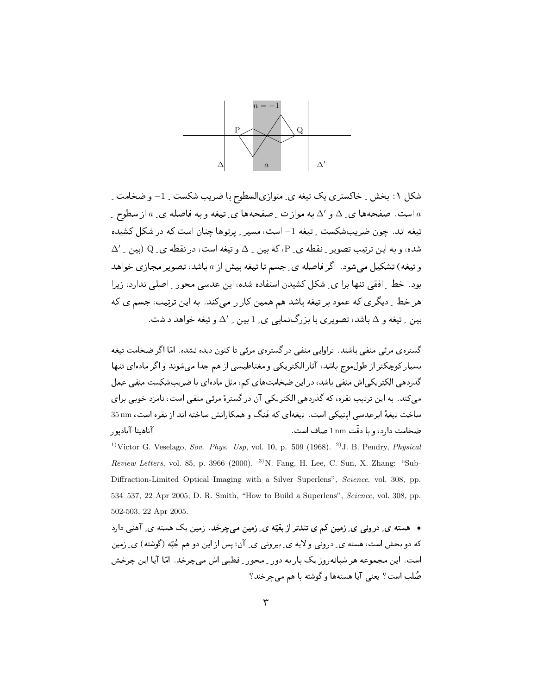

شکل ۱: بخش ¸ خاکستری یک تیغه ی ِ متوازیالسطوح با ضریب شکست ¸ 1– و ضخامت ِ است. صفحهها ی ِ ۵ و ۵ به موازات ِ صفحهها ی ِ تیغه و به فاصله ی ِ ۵ از سطوح ِ  $a$ تیغه اند. چون ضریبشکست \_ تیغه 1– است، مسیر \_ پرتوها چنان است که در شکل کشیده  $\Delta'$  شده، و به این ترتیب تصویر ِ نقطه ی ِ P، که بین ِ ِ ِ و تیغه است، در نقطه ی ِ Q (بین ِ  $\Delta'$ و تیغه) تشکیل می شود. اگر فاصله ی ِ جسم تا تیغه بیش از a باشد، تصویر مجازی خواهد بود. خط ِ افقی تنها برا ی ِ شکل کشیدن استفاده شده، این عدسی محور ِ اصلی ندارد، زیرا هر خط ِ دیگری که عمود بر تیغه باشد هم همین کار را می کند. به این ترتیب، جسم ی که بین ۱ِ تیغه و  $\Delta$  باشد، تصویری با بزرگنمایی ی ِ 1 بین ۱ِ  $\Delta'$  و تیغه خواهد داشت.

گستره ی مرئی منفی باشند. تراوایی منفی در گستره ی مرئی تا کنون دیده نشده. امّا اگر ضخامت تیغه بسیار کوچکتر از طول موج باشد، آثار الکتریکی و مغناطیسی از هم جدا می شوند و اگر مادهای تنها گذردهی الکتریکی|ش منفی باشد، در این ضخامتهای کم، مثل مادهای با ضریبشکست منفی عمل می کند. به این ترتیب نقره، که گذردهی الکتریکی آن در گسترهٔ مرئی منفی است، نامزد خوبی برای ساخت تیغهٔ ابرعدسی ایتیکی است. تیغهای که فَنگ و همکارانش ساخته اند از نقره است، 35 nm ضخامت دارد، و با دقّت 1nm صاف است. آناهيتا آباديور <sup>1)</sup>Victor G. Veselago, Sov. Phys. Usp, vol. 10, p. 509 (1968). <sup>2)</sup> J. B. Pendry, *Physical* Review Letters, vol. 85, p. 3966 (2000). <sup>3</sup>)N. Fang, H. Lee, C. Sun, X. Zhang: "Sub-

Diffraction-Limited Optical Imaging with a Silver Superlens", Science, vol. 308, pp. 534-537, 22 Apr 2005; D. R. Smith, "How to Build a Superlens", Science, vol. 308, pp. 502-503, 22 Apr 2005.

• هسته ی ِ درونبی ی ِ زمین کم ی تندتر از بقیّه ی ِ زمین میچرخد. زمین یک هسته ی ِ آهنی دارد که دو بخش است، هسته ي ِ دروني و لايه ي ِ بيروني ي ِ آن؛ پس از اين دو هم جُبّه (گوشته) ي ِ زمين است. این مجموعه هر شبانه٫وز یک بار به دور ِ محور ِ قطبی اش می چرخد. امّا آیا این چرخش صُلب است؟ یعنی آیا هستهها و گوشته با هم می چرخند؟